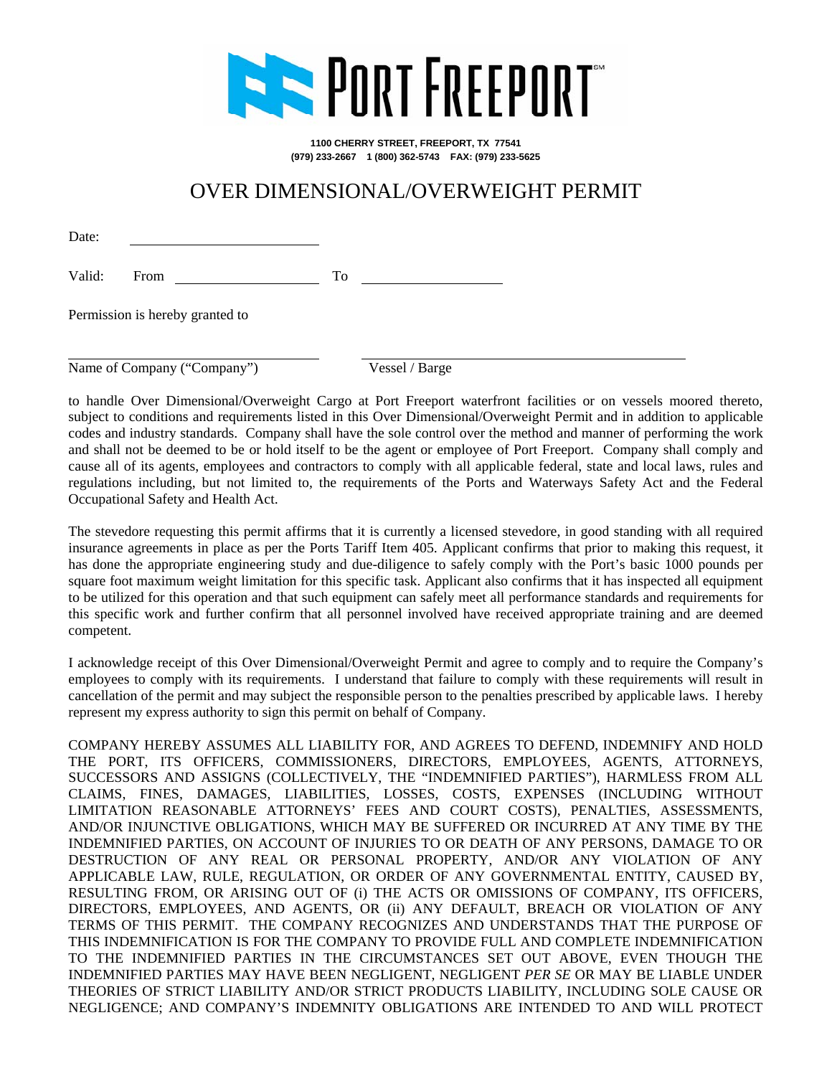

**1100 CHERRY STREET, FREEPORT, TX 77541 (979) 233-2667 1 (800) 362-5743 FAX: (979) 233-5625**

## OVER DIMENSIONAL/OVERWEIGHT PERMIT

Date:

Valid: From To

Permission is hereby granted to

Name of Company ("Company") Vessel / Barge

to handle Over Dimensional/Overweight Cargo at Port Freeport waterfront facilities or on vessels moored thereto, subject to conditions and requirements listed in this Over Dimensional/Overweight Permit and in addition to applicable codes and industry standards. Company shall have the sole control over the method and manner of performing the work and shall not be deemed to be or hold itself to be the agent or employee of Port Freeport. Company shall comply and cause all of its agents, employees and contractors to comply with all applicable federal, state and local laws, rules and regulations including, but not limited to, the requirements of the Ports and Waterways Safety Act and the Federal Occupational Safety and Health Act.

The stevedore requesting this permit affirms that it is currently a licensed stevedore, in good standing with all required insurance agreements in place as per the Ports Tariff Item 405. Applicant confirms that prior to making this request, it has done the appropriate engineering study and due-diligence to safely comply with the Port's basic 1000 pounds per square foot maximum weight limitation for this specific task. Applicant also confirms that it has inspected all equipment to be utilized for this operation and that such equipment can safely meet all performance standards and requirements for this specific work and further confirm that all personnel involved have received appropriate training and are deemed competent.

I acknowledge receipt of this Over Dimensional/Overweight Permit and agree to comply and to require the Company's employees to comply with its requirements. I understand that failure to comply with these requirements will result in cancellation of the permit and may subject the responsible person to the penalties prescribed by applicable laws. I hereby represent my express authority to sign this permit on behalf of Company.

COMPANY HEREBY ASSUMES ALL LIABILITY FOR, AND AGREES TO DEFEND, INDEMNIFY AND HOLD THE PORT, ITS OFFICERS, COMMISSIONERS, DIRECTORS, EMPLOYEES, AGENTS, ATTORNEYS, SUCCESSORS AND ASSIGNS (COLLECTIVELY, THE "INDEMNIFIED PARTIES"), HARMLESS FROM ALL CLAIMS, FINES, DAMAGES, LIABILITIES, LOSSES, COSTS, EXPENSES (INCLUDING WITHOUT LIMITATION REASONABLE ATTORNEYS' FEES AND COURT COSTS), PENALTIES, ASSESSMENTS, AND/OR INJUNCTIVE OBLIGATIONS, WHICH MAY BE SUFFERED OR INCURRED AT ANY TIME BY THE INDEMNIFIED PARTIES, ON ACCOUNT OF INJURIES TO OR DEATH OF ANY PERSONS, DAMAGE TO OR DESTRUCTION OF ANY REAL OR PERSONAL PROPERTY, AND/OR ANY VIOLATION OF ANY APPLICABLE LAW, RULE, REGULATION, OR ORDER OF ANY GOVERNMENTAL ENTITY, CAUSED BY, RESULTING FROM, OR ARISING OUT OF (i) THE ACTS OR OMISSIONS OF COMPANY, ITS OFFICERS, DIRECTORS, EMPLOYEES, AND AGENTS, OR (ii) ANY DEFAULT, BREACH OR VIOLATION OF ANY TERMS OF THIS PERMIT. THE COMPANY RECOGNIZES AND UNDERSTANDS THAT THE PURPOSE OF THIS INDEMNIFICATION IS FOR THE COMPANY TO PROVIDE FULL AND COMPLETE INDEMNIFICATION TO THE INDEMNIFIED PARTIES IN THE CIRCUMSTANCES SET OUT ABOVE, EVEN THOUGH THE INDEMNIFIED PARTIES MAY HAVE BEEN NEGLIGENT, NEGLIGENT *PER SE* OR MAY BE LIABLE UNDER THEORIES OF STRICT LIABILITY AND/OR STRICT PRODUCTS LIABILITY, INCLUDING SOLE CAUSE OR NEGLIGENCE; AND COMPANY'S INDEMNITY OBLIGATIONS ARE INTENDED TO AND WILL PROTECT